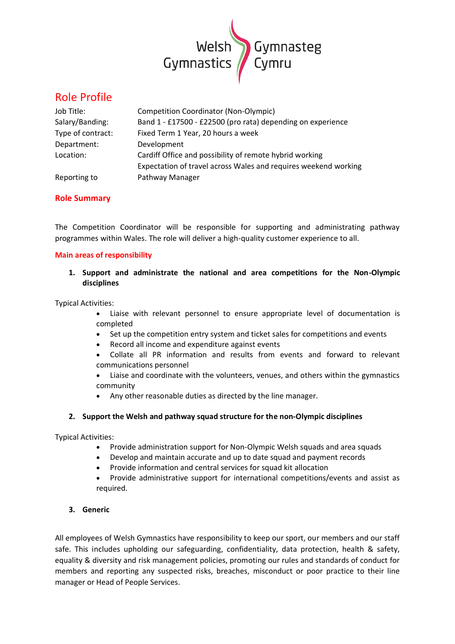

# Role Profile

| Job Title:        | <b>Competition Coordinator (Non-Olympic)</b>                    |
|-------------------|-----------------------------------------------------------------|
| Salary/Banding:   | Band 1 - £17500 - £22500 (pro rata) depending on experience     |
| Type of contract: | Fixed Term 1 Year, 20 hours a week                              |
| Department:       | Development                                                     |
| Location:         | Cardiff Office and possibility of remote hybrid working         |
|                   | Expectation of travel across Wales and requires weekend working |
| Reporting to      | Pathway Manager                                                 |

# **Role Summary**

The Competition Coordinator will be responsible for supporting and administrating pathway programmes within Wales. The role will deliver a high-quality customer experience to all.

## **Main areas of responsibility**

**1. Support and administrate the national and area competitions for the Non-Olympic disciplines**

Typical Activities:

- Liaise with relevant personnel to ensure appropriate level of documentation is completed
- Set up the competition entry system and ticket sales for competitions and events
- Record all income and expenditure against events
- Collate all PR information and results from events and forward to relevant communications personnel
- Liaise and coordinate with the volunteers, venues, and others within the gymnastics community
- Any other reasonable duties as directed by the line manager.

# **2. Support the Welsh and pathway squad structure for the non-Olympic disciplines**

Typical Activities:

- Provide administration support for Non-Olympic Welsh squads and area squads
- Develop and maintain accurate and up to date squad and payment records
- Provide information and central services for squad kit allocation
- Provide administrative support for international competitions/events and assist as required.

# **3. Generic**

All employees of Welsh Gymnastics have responsibility to keep our sport, our members and our staff safe. This includes upholding our safeguarding, confidentiality, data protection, health & safety, equality & diversity and risk management policies, promoting our rules and standards of conduct for members and reporting any suspected risks, breaches, misconduct or poor practice to their line manager or Head of People Services.